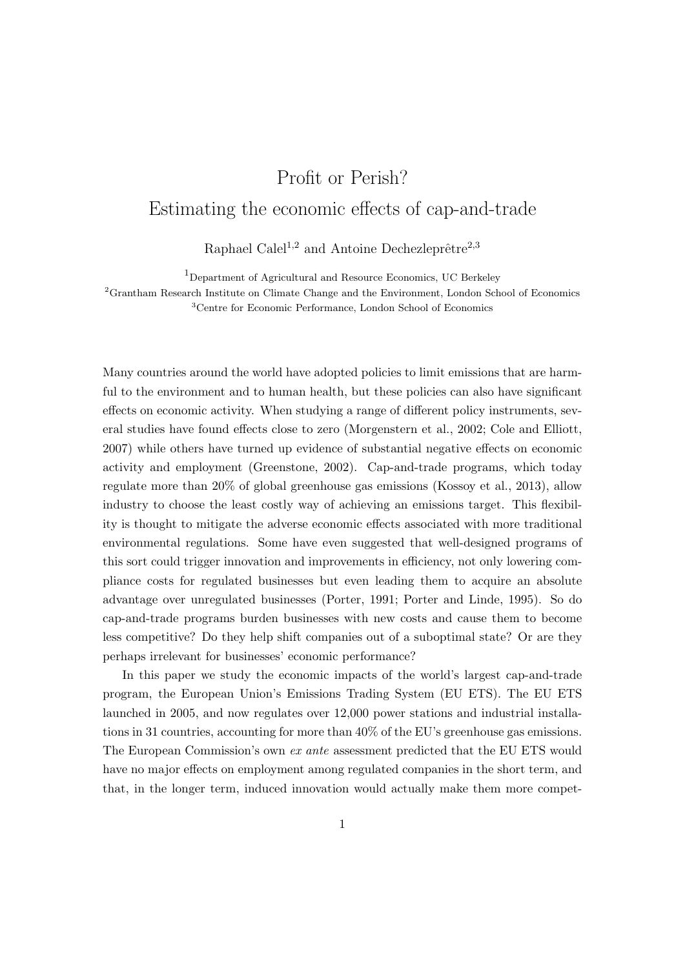## Profit or Perish? Estimating the economic effects of cap-and-trade

Raphael Calel<sup>1,2</sup> and Antoine Dechezleprêtre<sup>2,3</sup>

<sup>1</sup>Department of Agricultural and Resource Economics, UC Berkeley

 ${}^{2}$ Grantham Research Institute on Climate Change and the Environment, London School of Economics <sup>3</sup>Centre for Economic Performance, London School of Economics

Many countries around the world have adopted policies to limit emissions that are harmful to the environment and to human health, but these policies can also have significant effects on economic activity. When studying a range of different policy instruments, several studies have found effects close to zero (Morgenstern et al., 2002; Cole and Elliott, 2007) while others have turned up evidence of substantial negative effects on economic activity and employment (Greenstone, 2002). Cap-and-trade programs, which today regulate more than 20% of global greenhouse gas emissions (Kossoy et al., 2013), allow industry to choose the least costly way of achieving an emissions target. This flexibility is thought to mitigate the adverse economic effects associated with more traditional environmental regulations. Some have even suggested that well-designed programs of this sort could trigger innovation and improvements in efficiency, not only lowering compliance costs for regulated businesses but even leading them to acquire an absolute advantage over unregulated businesses (Porter, 1991; Porter and Linde, 1995). So do cap-and-trade programs burden businesses with new costs and cause them to become less competitive? Do they help shift companies out of a suboptimal state? Or are they perhaps irrelevant for businesses' economic performance?

In this paper we study the economic impacts of the world's largest cap-and-trade program, the European Union's Emissions Trading System (EU ETS). The EU ETS launched in 2005, and now regulates over 12,000 power stations and industrial installations in 31 countries, accounting for more than 40% of the EU's greenhouse gas emissions. The European Commission's own *ex ante* assessment predicted that the EU ETS would have no major effects on employment among regulated companies in the short term, and that, in the longer term, induced innovation would actually make them more compet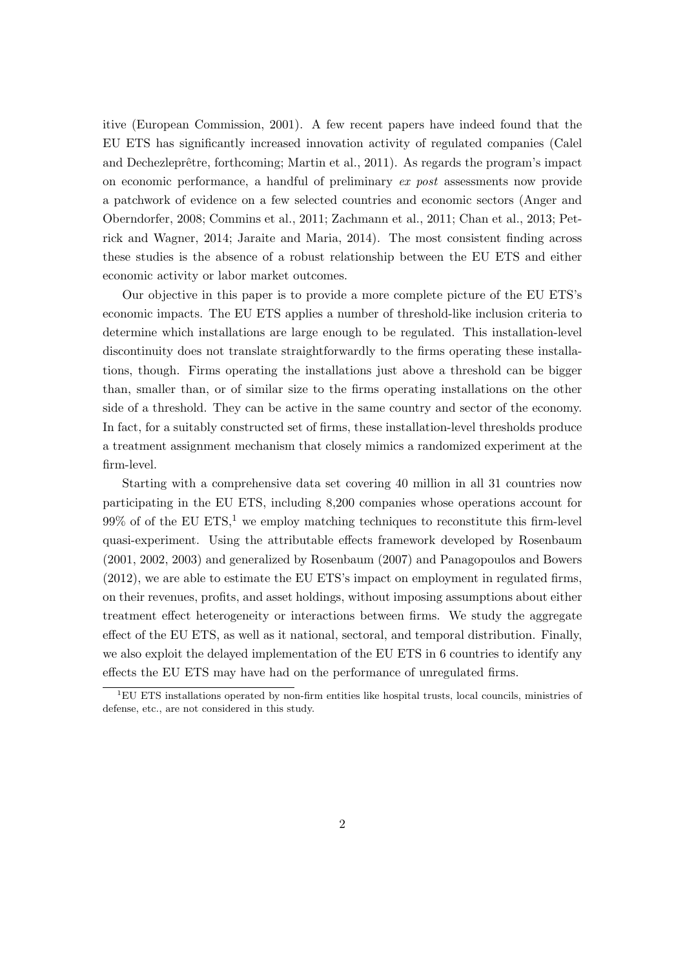itive (European Commission, 2001). A few recent papers have indeed found that the EU ETS has significantly increased innovation activity of regulated companies (Calel and Dechezleprêtre, forthcoming; Martin et al., 2011). As regards the program's impact on economic performance, a handful of preliminary *ex post* assessments now provide a patchwork of evidence on a few selected countries and economic sectors (Anger and Oberndorfer, 2008; Commins et al., 2011; Zachmann et al., 2011; Chan et al., 2013; Petrick and Wagner, 2014; Jaraite and Maria, 2014). The most consistent finding across these studies is the absence of a robust relationship between the EU ETS and either economic activity or labor market outcomes.

Our objective in this paper is to provide a more complete picture of the EU ETS's economic impacts. The EU ETS applies a number of threshold-like inclusion criteria to determine which installations are large enough to be regulated. This installation-level discontinuity does not translate straightforwardly to the firms operating these installations, though. Firms operating the installations just above a threshold can be bigger than, smaller than, or of similar size to the firms operating installations on the other side of a threshold. They can be active in the same country and sector of the economy. In fact, for a suitably constructed set of firms, these installation-level thresholds produce a treatment assignment mechanism that closely mimics a randomized experiment at the firm-level.

Starting with a comprehensive data set covering 40 million in all 31 countries now participating in the EU ETS, including 8,200 companies whose operations account for  $99\%$  of of the EU ETS,<sup>1</sup> we employ matching techniques to reconstitute this firm-level quasi-experiment. Using the attributable effects framework developed by Rosenbaum (2001, 2002, 2003) and generalized by Rosenbaum (2007) and Panagopoulos and Bowers (2012), we are able to estimate the EU ETS's impact on employment in regulated firms, on their revenues, profits, and asset holdings, without imposing assumptions about either treatment effect heterogeneity or interactions between firms. We study the aggregate effect of the EU ETS, as well as it national, sectoral, and temporal distribution. Finally, we also exploit the delayed implementation of the EU ETS in 6 countries to identify any effects the EU ETS may have had on the performance of unregulated firms.

 $1$ EU ETS installations operated by non-firm entities like hospital trusts, local councils, ministries of defense, etc., are not considered in this study.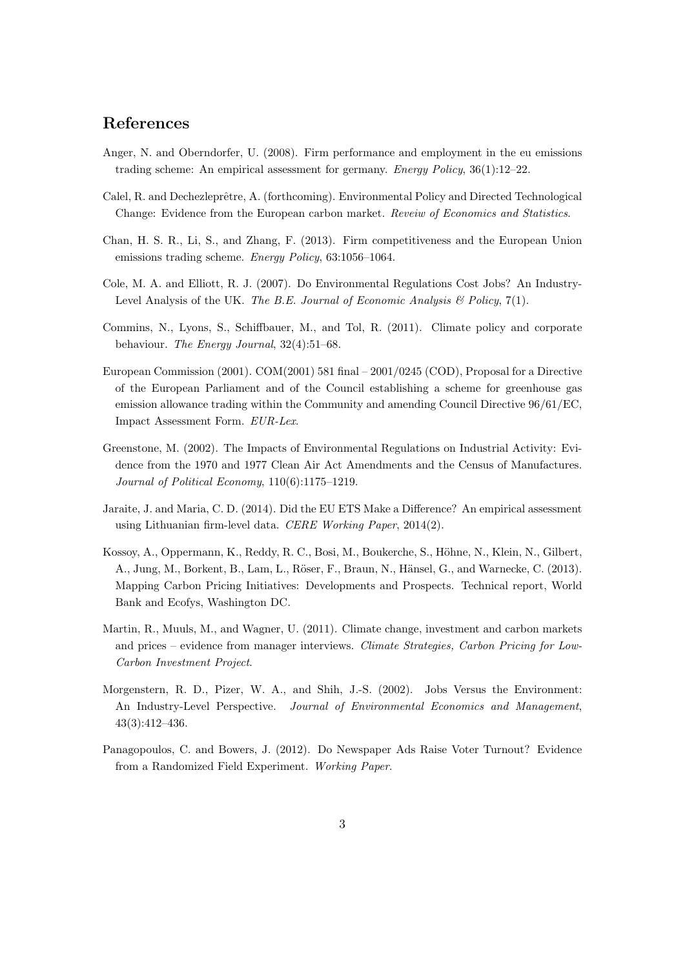## **References**

- Anger, N. and Oberndorfer, U. (2008). Firm performance and employment in the eu emissions trading scheme: An empirical assessment for germany. *Energy Policy*, 36(1):12–22.
- Calel, R. and Dechezleprêtre, A. (forthcoming). Environmental Policy and Directed Technological Change: Evidence from the European carbon market. *Reveiw of Economics and Statistics*.
- Chan, H. S. R., Li, S., and Zhang, F. (2013). Firm competitiveness and the European Union emissions trading scheme. *Energy Policy*, 63:1056–1064.
- Cole, M. A. and Elliott, R. J. (2007). Do Environmental Regulations Cost Jobs? An Industry-Level Analysis of the UK. *The B.E. Journal of Economic Analysis & Policy*, 7(1).
- Commins, N., Lyons, S., Schiffbauer, M., and Tol, R. (2011). Climate policy and corporate behaviour. *The Energy Journal*, 32(4):51–68.
- European Commission (2001). COM(2001) 581 final 2001/0245 (COD), Proposal for a Directive of the European Parliament and of the Council establishing a scheme for greenhouse gas emission allowance trading within the Community and amending Council Directive 96/61/EC, Impact Assessment Form. *EUR-Lex*.
- Greenstone, M. (2002). The Impacts of Environmental Regulations on Industrial Activity: Evidence from the 1970 and 1977 Clean Air Act Amendments and the Census of Manufactures. *Journal of Political Economy*, 110(6):1175–1219.
- Jaraite, J. and Maria, C. D. (2014). Did the EU ETS Make a Difference? An empirical assessment using Lithuanian firm-level data. *CERE Working Paper*, 2014(2).
- Kossoy, A., Oppermann, K., Reddy, R. C., Bosi, M., Boukerche, S., Höhne, N., Klein, N., Gilbert, A., Jung, M., Borkent, B., Lam, L., Röser, F., Braun, N., Hänsel, G., and Warnecke, C. (2013). Mapping Carbon Pricing Initiatives: Developments and Prospects. Technical report, World Bank and Ecofys, Washington DC.
- Martin, R., Muuls, M., and Wagner, U. (2011). Climate change, investment and carbon markets and prices – evidence from manager interviews. *Climate Strategies, Carbon Pricing for Low-Carbon Investment Project*.
- Morgenstern, R. D., Pizer, W. A., and Shih, J.-S. (2002). Jobs Versus the Environment: An Industry-Level Perspective. *Journal of Environmental Economics and Management*, 43(3):412–436.
- Panagopoulos, C. and Bowers, J. (2012). Do Newspaper Ads Raise Voter Turnout? Evidence from a Randomized Field Experiment. *Working Paper*.